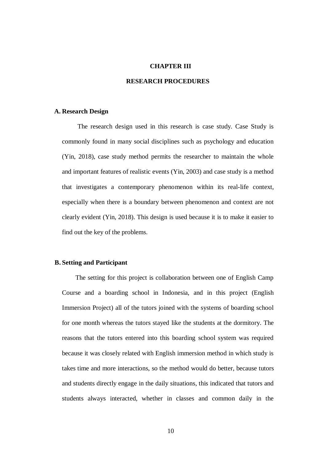#### **CHAPTER III**

### **RESEARCH PROCEDURES**

#### **A. Research Design**

The research design used in this research is case study. Case Study is commonly found in many social disciplines such as psychology and education (Yin, 2018), case study method permits the researcher to maintain the whole and important features of realistic events (Yin, 2003) and case study is a method that investigates a contemporary phenomenon within its real-life context, especially when there is a boundary between phenomenon and context are not clearly evident (Yin, 2018). This design is used because it is to make it easier to find out the key of the problems.

### **B. Setting and Participant**

The setting for this project is collaboration between one of English Camp Course and a boarding school in Indonesia, and in this project (English Immersion Project) all of the tutors joined with the systems of boarding school for one month whereas the tutors stayed like the students at the dormitory. The reasons that the tutors entered into this boarding school system was required because it was closely related with English immersion method in which study is takes time and more interactions, so the method would do better, because tutors and students directly engage in the daily situations, this indicated that tutors and students always interacted, whether in classes and common daily in the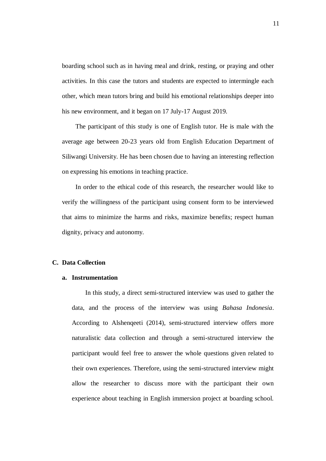boarding school such as in having meal and drink, resting, or praying and other activities. In this case the tutors and students are expected to intermingle each other, which mean tutors bring and build his emotional relationships deeper into his new environment, and it began on 17 July-17 August 2019.

The participant of this study is one of English tutor. He is male with the average age between 20-23 years old from English Education Department of Siliwangi University. He has been chosen due to having an interesting reflection on expressing his emotions in teaching practice.

In order to the ethical code of this research, the researcher would like to verify the willingness of the participant using consent form to be interviewed that aims to minimize the harms and risks, maximize benefits; respect human dignity, privacy and autonomy.

#### **C. Data Collection**

#### **a. Instrumentation**

In this study, a direct semi-structured interview was used to gather the data, and the process of the interview was using *Bahasa Indonesia*. According to Alshenqeeti (2014), semi-structured interview offers more naturalistic data collection and through a semi-structured interview the participant would feel free to answer the whole questions given related to their own experiences. Therefore, using the semi-structured interview might allow the researcher to discuss more with the participant their own experience about teaching in English immersion project at boarding school.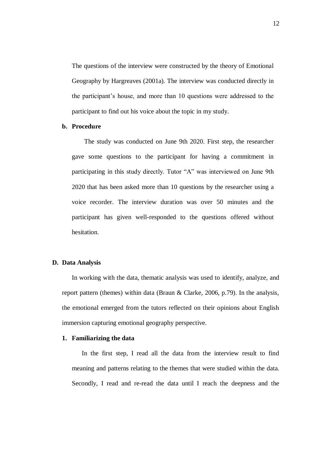The questions of the interview were constructed by the theory of Emotional Geography by Hargreaves (2001a). The interview was conducted directly in the participant's house, and more than 10 questions were addressed to the participant to find out his voice about the topic in my study.

#### **b. Procedure**

The study was conducted on June 9th 2020. First step, the researcher gave some questions to the participant for having a commitment in participating in this study directly. Tutor "A" was interviewed on June 9th 2020 that has been asked more than 10 questions by the researcher using a voice recorder. The interview duration was over 50 minutes and the participant has given well-responded to the questions offered without hesitation.

#### **D. Data Analysis**

In working with the data, thematic analysis was used to identify, analyze, and report pattern (themes) within data (Braun & Clarke, 2006, p.79). In the analysis, the emotional emerged from the tutors reflected on their opinions about English immersion capturing emotional geography perspective.

# **1. Familiarizing the data**

In the first step, I read all the data from the interview result to find meaning and patterns relating to the themes that were studied within the data. Secondly, I read and re-read the data until I reach the deepness and the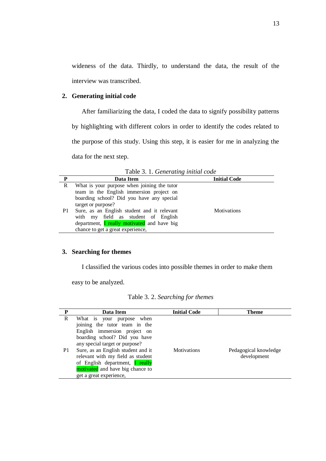wideness of the data. Thirdly, to understand the data, the result of the interview was transcribed.

# **2. Generating initial code**

After familiarizing the data, I coded the data to signify possibility patterns by highlighting with different colors in order to identify the codes related to the purpose of this study. Using this step, it is easier for me in analyzing the data for the next step.

| P  | Data Item                                                                                                                                                                     | <b>Initial Code</b> |
|----|-------------------------------------------------------------------------------------------------------------------------------------------------------------------------------|---------------------|
| R  | What is your purpose when joining the tutor<br>team in the English immersion project on                                                                                       |                     |
|    | boarding school? Did you have any special<br>target or purpose?                                                                                                               |                     |
| P1 | Sure, as an English student and it relevant<br>with my field as student of English<br>department, <i>I</i> really motivated and have big<br>chance to get a great experience, | <b>Motivations</b>  |

Table 3. 1. *Generating initial code*

# **3. Searching for themes**

I classified the various codes into possible themes in order to make them

easy to be analyzed.

|  |  | Table 3. 2. Searching for themes |  |  |
|--|--|----------------------------------|--|--|
|--|--|----------------------------------|--|--|

| P       | Data Item                                                                                                                                                                                                                                                                                                                                         | <b>Initial Code</b> | Theme                                |
|---------|---------------------------------------------------------------------------------------------------------------------------------------------------------------------------------------------------------------------------------------------------------------------------------------------------------------------------------------------------|---------------------|--------------------------------------|
| R<br>P1 | What is your purpose when<br>joining the tutor team in the<br>English immersion project on<br>boarding school? Did you have<br>any special target or purpose?<br>Sure, as an English student and it<br>relevant with my field as student<br>of English department, <b>I really</b><br>motivated and have big chance to<br>get a great experience, | <b>Motivations</b>  | Pedagogical knowledge<br>development |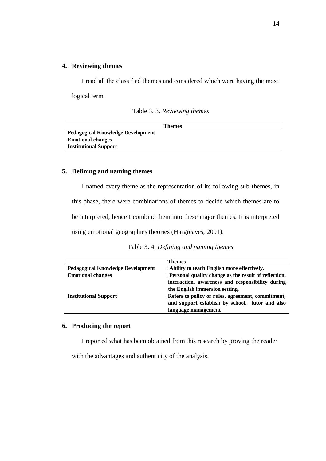# **4. Reviewing themes**

I read all the classified themes and considered which were having the most

logical term.

|  |  | Table 3.3. Reviewing themes |
|--|--|-----------------------------|

| Themes                                   |
|------------------------------------------|
| <b>Pedagogical Knowledge Development</b> |
| <b>Emotional changes</b>                 |
| <b>Institutional Support</b>             |

# **5. Defining and naming themes**

I named every theme as the representation of its following sub-themes, in this phase, there were combinations of themes to decide which themes are to be interpreted, hence I combine them into these major themes. It is interpreted using emotional geographies theories (Hargreaves, 2001).

| Table 3.4. Defining and naming themes |  |
|---------------------------------------|--|
|---------------------------------------|--|

|                                          | <b>Themes</b>                                          |  |  |  |
|------------------------------------------|--------------------------------------------------------|--|--|--|
| <b>Pedagogical Knowledge Development</b> | : Ability to teach English more effectively.           |  |  |  |
| <b>Emotional changes</b>                 | : Personal quality change as the result of reflection, |  |  |  |
|                                          | interaction, awareness and responsibility during       |  |  |  |
|                                          | the English immersion setting.                         |  |  |  |
| <b>Institutional Support</b>             | :Refers to policy or rules, agreement, commitment,     |  |  |  |
|                                          | and support establish by school, tutor and also        |  |  |  |
|                                          | language management                                    |  |  |  |

#### **6. Producing the report**

I reported what has been obtained from this research by proving the reader

with the advantages and authenticity of the analysis.